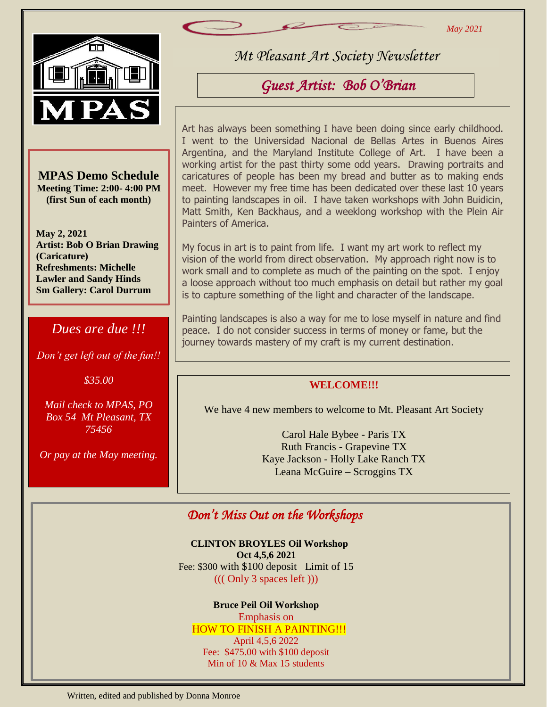*May 2021*



Br

**MPAS Demo Schedule Meeting Time: 2:00- 4:00 PM (first Sun of each month)**

**May 2, 2021 Artist: Bob O Brian Drawing (Caricature) Refreshments: Michelle Lawler and Sandy Hinds Sm Gallery: Carol Durrum**

### *Dues are due !!!*

*Don't get left out of the fun!!*

*\$35.00*

*Mail check to MPAS, PO Box 54 Mt Pleasant, TX 75456*

*Or pay at the May meeting.*

*Mt Pleasant Art Society Newsletter*

# *Guest Artist: Bob O'Brian*

Art has always been something I have been doing since early childhood. I went to the Universidad Nacional de Bellas Artes in Buenos Aires Argentina, and the Maryland Institute College of Art. I have been a working artist for the past thirty some odd years. Drawing portraits and caricatures of people has been my bread and butter as to making ends meet. However my free time has been dedicated over these last 10 years to painting landscapes in oil. I have taken workshops with John Buidicin, Matt Smith, Ken Backhaus, and a weeklong workshop with the Plein Air Painters of America.

My focus in art is to paint from life. I want my art work to reflect my vision of the world from direct observation. My approach right now is to work small and to complete as much of the painting on the spot. I enjoy a loose approach without too much emphasis on detail but rather my goal is to capture something of the light and character of the landscape.

Painting landscapes is also a way for me to lose myself in nature and find peace. I do not consider success in terms of money or fame, but the journey towards mastery of my craft is my current destination.

### **WELCOME!!!**

We have 4 new members to welcome to Mt. Pleasant Art Society

Carol Hale Bybee - Paris TX Ruth Francis - Grapevine TX Kaye Jackson - Holly Lake Ranch TX Leana McGuire – Scroggins TX

# *Don't Miss Out on the Workshops*

**CLINTON BROYLES Oil Workshop Oct 4,5,6 2021** Fee: \$300 with \$100 deposit Limit of 15 ((( Only 3 spaces left )))

#### **Bruce Peil Oil Workshop**

Emphasis on HOW TO FINISH A PAINTING!!! April 4,5,6 2022 Fee: \$475.00 with \$100 deposit Min of 10 & Max 15 students